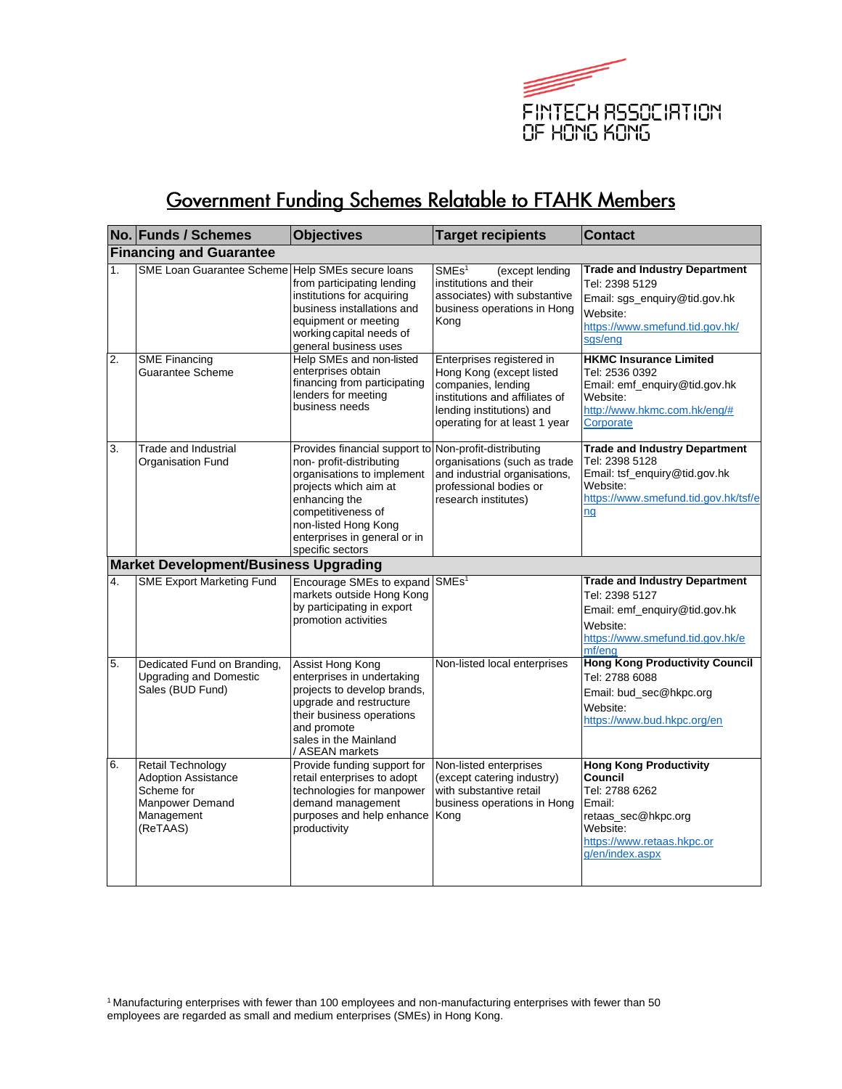

## Government Funding Schemes Relatable to FTAHK Members

|    | No. Funds / Schemes                                                                                               | <b>Objectives</b>                                                                                                                                                                                                                   | <b>Target recipients</b>                                                                                                                                                    | <b>Contact</b>                                                                                                                                           |
|----|-------------------------------------------------------------------------------------------------------------------|-------------------------------------------------------------------------------------------------------------------------------------------------------------------------------------------------------------------------------------|-----------------------------------------------------------------------------------------------------------------------------------------------------------------------------|----------------------------------------------------------------------------------------------------------------------------------------------------------|
|    | <b>Financing and Guarantee</b>                                                                                    |                                                                                                                                                                                                                                     |                                                                                                                                                                             |                                                                                                                                                          |
| 1. | <b>SME Loan Guarantee Scheme</b>                                                                                  | Help SMEs secure loans<br>from participating lending<br>institutions for acquiring<br>business installations and<br>equipment or meeting<br>working capital needs of<br>general business uses                                       | $\mathsf{SMEs}^1$<br>(except lending<br>institutions and their<br>associates) with substantive<br>business operations in Hong<br>Kong                                       | <b>Trade and Industry Department</b><br>Tel: 2398 5129<br>Email: sgs_enquiry@tid.gov.hk<br>Website:<br>https://www.smefund.tid.gov.hk/<br>sgs/eng        |
| 2. | <b>SME Financing</b><br>Guarantee Scheme                                                                          | Help SMEs and non-listed<br>enterprises obtain<br>financing from participating<br>lenders for meeting<br>business needs                                                                                                             | Enterprises registered in<br>Hong Kong (except listed<br>companies, lending<br>institutions and affiliates of<br>lending institutions) and<br>operating for at least 1 year | <b>HKMC Insurance Limited</b><br>Tel: 2536 0392<br>Email: emf_enquiry@tid.gov.hk<br>Website:<br>http://www.hkmc.com.hk/eng/#<br>Corporate                |
| 3. | Trade and Industrial<br>Organisation Fund                                                                         | Provides financial support to<br>non- profit-distributing<br>organisations to implement<br>projects which aim at<br>enhancing the<br>competitiveness of<br>non-listed Hong Kong<br>enterprises in general or in<br>specific sectors | Non-profit-distributing<br>organisations (such as trade<br>and industrial organisations,<br>professional bodies or<br>research institutes)                                  | <b>Trade and Industry Department</b><br>Tel: 2398 5128<br>Email: tsf_enquiry@tid.gov.hk<br>Website:<br>https://www.smefund.tid.gov.hk/tsf/e<br>ng        |
|    | <b>Market Development/Business Upgrading</b>                                                                      |                                                                                                                                                                                                                                     |                                                                                                                                                                             |                                                                                                                                                          |
| 4. | <b>SME Export Marketing Fund</b>                                                                                  | Encourage SMEs to expand<br>markets outside Hong Kong<br>by participating in export<br>promotion activities                                                                                                                         | SMEs <sup>1</sup>                                                                                                                                                           | <b>Trade and Industry Department</b><br>Tel: 2398 5127<br>Email: emf_enquiry@tid.gov.hk<br>Website:<br>https://www.smefund.tid.gov.hk/e<br>mf/eng        |
| 5. | Dedicated Fund on Branding,<br><b>Upgrading and Domestic</b><br>Sales (BUD Fund)                                  | Assist Hong Kong<br>enterprises in undertaking<br>projects to develop brands,<br>upgrade and restructure<br>their business operations<br>and promote<br>sales in the Mainland<br>/ ASEAN markets                                    | Non-listed local enterprises                                                                                                                                                | <b>Hong Kong Productivity Council</b><br>Tel: 2788 6088<br>Email: bud_sec@hkpc.org<br>Website:<br>https://www.bud.hkpc.org/en                            |
| 6. | <b>Retail Technology</b><br><b>Adoption Assistance</b><br>Scheme for<br>Manpower Demand<br>Management<br>(ReTAAS) | Provide funding support for<br>retail enterprises to adopt<br>technologies for manpower<br>demand management<br>purposes and help enhance<br>productivity                                                                           | Non-listed enterprises<br>(except catering industry)<br>with substantive retail<br>business operations in Hong<br>Kong                                                      | <b>Hong Kong Productivity</b><br>Council<br>Tel: 2788 6262<br>Email:<br>retaas_sec@hkpc.org<br>Website:<br>https://www.retaas.hkpc.or<br>g/en/index.aspx |

<sup>1</sup>Manufacturing enterprises with fewer than 100 employees and non-manufacturing enterprises with fewer than 50 employees are regarded as small and medium enterprises (SMEs) in Hong Kong.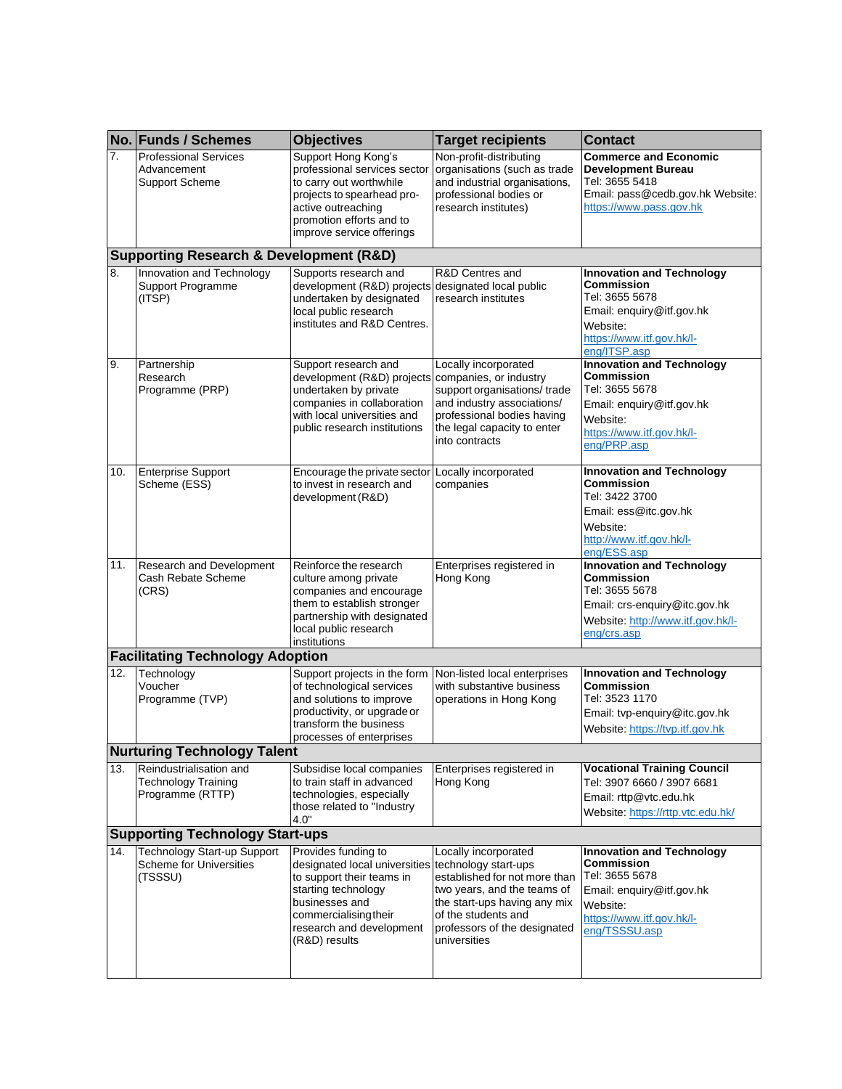|     | No. Funds / Schemes                                                             | <b>Objectives</b>                                                                                                                                                                               | <b>Target recipients</b>                                                                                                                                                                                            | <b>Contact</b>                                                                                                                                                 |
|-----|---------------------------------------------------------------------------------|-------------------------------------------------------------------------------------------------------------------------------------------------------------------------------------------------|---------------------------------------------------------------------------------------------------------------------------------------------------------------------------------------------------------------------|----------------------------------------------------------------------------------------------------------------------------------------------------------------|
| 7.  | <b>Professional Services</b><br>Advancement<br><b>Support Scheme</b>            | Support Hong Kong's<br>professional services sector<br>to carry out worthwhile<br>projects to spearhead pro-<br>active outreaching<br>promotion efforts and to<br>improve service offerings     | Non-profit-distributing<br>organisations (such as trade<br>and industrial organisations,<br>professional bodies or<br>research institutes)                                                                          | <b>Commerce and Economic</b><br><b>Development Bureau</b><br>Tel: 3655 5418<br>Email: pass@cedb.gov.hk Website:<br>https://www.pass.gov.hk                     |
|     | <b>Supporting Research &amp; Development (R&amp;D)</b>                          |                                                                                                                                                                                                 |                                                                                                                                                                                                                     |                                                                                                                                                                |
| 8.  | Innovation and Technology<br>Support Programme<br>(ITSP)                        | Supports research and<br>development (R&D) projects<br>undertaken by designated<br>local public research<br>institutes and R&D Centres.                                                         | R&D Centres and<br>designated local public<br>research institutes                                                                                                                                                   | <b>Innovation and Technology</b><br><b>Commission</b><br>Tel: 3655 5678<br>Email: enquiry@itf.gov.hk<br>Website:<br>https://www.itf.gov.hk/l-<br>eng/ITSP.asp  |
| 9.  | Partnership<br>Research<br>Programme (PRP)                                      | Support research and<br>development (R&D) projects<br>undertaken by private<br>companies in collaboration<br>with local universities and<br>public research institutions                        | Locally incorporated<br>companies, or industry<br>support organisations/trade<br>and industry associations/<br>professional bodies having<br>the legal capacity to enter<br>into contracts                          | <b>Innovation and Technology</b><br><b>Commission</b><br>Tel: 3655 5678<br>Email: enquiry@itf.gov.hk<br>Website:<br>https://www.itf.gov.hk/l-<br>eng/PRP.asp   |
| 10. | <b>Enterprise Support</b><br>Scheme (ESS)                                       | Encourage the private sector<br>to invest in research and<br>development (R&D)                                                                                                                  | Locally incorporated<br>companies                                                                                                                                                                                   | <b>Innovation and Technology</b><br><b>Commission</b><br>Tel: 3422 3700<br>Email: ess@itc.gov.hk<br>Website:<br>http://www.itf.gov.hk/l-<br>eng/ESS.asp        |
| 11. | <b>Research and Development</b><br>Cash Rebate Scheme<br>(CRS)                  | Reinforce the research<br>culture among private<br>companies and encourage<br>them to establish stronger<br>partnership with designated<br>local public research<br>institutions                | Enterprises registered in<br>Hong Kong                                                                                                                                                                              | <b>Innovation and Technology</b><br><b>Commission</b><br>Tel: 3655 5678<br>Email: crs-enquiry@itc.gov.hk<br>Website: http://www.itf.gov.hk/l-<br>eng/crs.asp   |
|     | <b>Facilitating Technology Adoption</b>                                         |                                                                                                                                                                                                 |                                                                                                                                                                                                                     |                                                                                                                                                                |
| 12. | Technology<br>Voucher<br>Programme (TVP)                                        | Support projects in the form<br>of technological services<br>and solutions to improve<br>productivity, or upgrade or<br>transform the business<br>processes of enterprises                      | Non-listed local enterprises<br>with substantive business<br>operations in Hong Kong                                                                                                                                | <b>Innovation and Technology</b><br><b>Commission</b><br>Tel: 3523 1170<br>Email: tvp-enquiry@itc.gov.hk<br>Website: https://tvp.itf.gov.hk                    |
|     | <b>Nurturing Technology Talent</b>                                              |                                                                                                                                                                                                 |                                                                                                                                                                                                                     |                                                                                                                                                                |
| 13. | Reindustrialisation and<br><b>Technology Training</b><br>Programme (RTTP)       | Subsidise local companies<br>to train staff in advanced<br>technologies, especially<br>those related to "Industry<br>4.0"                                                                       | Enterprises registered in<br>Hong Kong                                                                                                                                                                              | <b>Vocational Training Council</b><br>Tel: 3907 6660 / 3907 6681<br>Email: rttp@vtc.edu.hk<br>Website: https://rttp.vtc.edu.hk/                                |
|     | <b>Supporting Technology Start-ups</b>                                          |                                                                                                                                                                                                 |                                                                                                                                                                                                                     |                                                                                                                                                                |
| 14. | <b>Technology Start-up Support</b><br><b>Scheme for Universities</b><br>(TSSSU) | Provides funding to<br>designated local universities<br>to support their teams in<br>starting technology<br>businesses and<br>commercialisingtheir<br>research and development<br>(R&D) results | Locally incorporated<br>technology start-ups<br>established for not more than<br>two years, and the teams of<br>the start-ups having any mix<br>of the students and<br>professors of the designated<br>universities | <b>Innovation and Technology</b><br><b>Commission</b><br>Tel: 3655 5678<br>Email: enquiry@itf.gov.hk<br>Website:<br>https://www.itf.gov.hk/l-<br>eng/TSSSU.asp |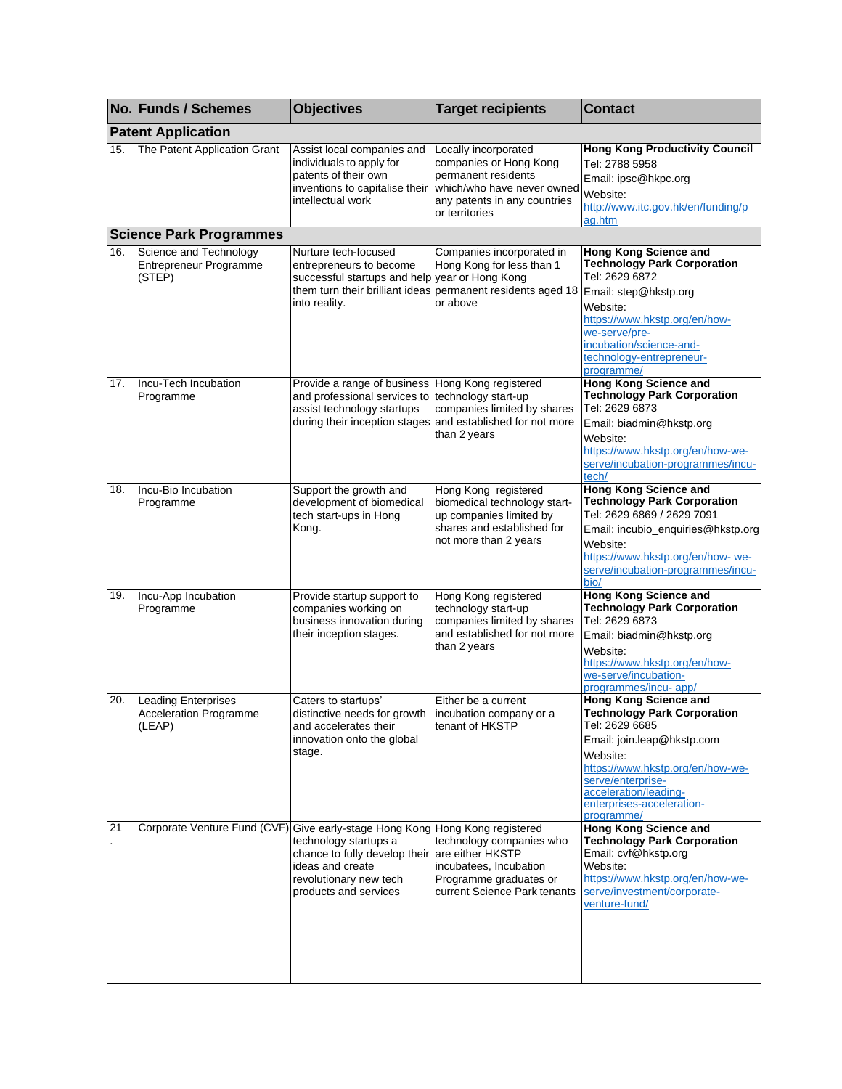|     | No. Funds / Schemes                                                          | <b>Objectives</b>                                                                                                                                     | <b>Target recipients</b>                                                                                                                              | <b>Contact</b>                                                                                                                                                                                                                                       |
|-----|------------------------------------------------------------------------------|-------------------------------------------------------------------------------------------------------------------------------------------------------|-------------------------------------------------------------------------------------------------------------------------------------------------------|------------------------------------------------------------------------------------------------------------------------------------------------------------------------------------------------------------------------------------------------------|
|     | <b>Patent Application</b>                                                    |                                                                                                                                                       |                                                                                                                                                       |                                                                                                                                                                                                                                                      |
| 15. | The Patent Application Grant                                                 | Assist local companies and<br>individuals to apply for<br>patents of their own<br>inventions to capitalise their<br>intellectual work                 | Locally incorporated<br>companies or Hong Kong<br>permanent residents<br>which/who have never owned<br>any patents in any countries<br>or territories | <b>Hong Kong Productivity Council</b><br>Tel: 2788 5958<br>Email: ipsc@hkpc.org<br>Website:<br>http://www.itc.gov.hk/en/funding/p<br>ag.htm                                                                                                          |
|     | <b>Science Park Programmes</b>                                               |                                                                                                                                                       |                                                                                                                                                       |                                                                                                                                                                                                                                                      |
| 16. | Science and Technology<br>Entrepreneur Programme<br>(STEP)                   | Nurture tech-focused<br>entrepreneurs to become<br>successful startups and help year or Hong Kong<br>them turn their brilliant ideas<br>into reality. | Companies incorporated in<br>Hong Kong for less than 1<br>permanent residents aged 18<br>or above                                                     | Hong Kong Science and<br><b>Technology Park Corporation</b><br>Tel: 2629 6872<br>Email: step@hkstp.org<br>Website:<br>https://www.hkstp.org/en/how-<br>we-serve/pre-<br>incubation/science-and-<br>technology-entrepreneur-<br>programme/            |
| 17. | Incu-Tech Incubation<br>Programme                                            | Provide a range of business<br>and professional services to<br>assist technology startups<br>during their inception stages                            | Hong Kong registered<br>technology start-up<br>companies limited by shares<br>and established for not more<br>than 2 years                            | <b>Hong Kong Science and</b><br><b>Technology Park Corporation</b><br>Tel: 2629 6873<br>Email: biadmin@hkstp.org<br>Website:<br>https://www.hkstp.org/en/how-we-<br>serve/incubation-programmes/incu-<br>tech/                                       |
| 18. | Incu-Bio Incubation<br>Programme                                             | Support the growth and<br>development of biomedical<br>tech start-ups in Hong<br>Kong.                                                                | Hong Kong registered<br>biomedical technology start-<br>up companies limited by<br>shares and established for<br>not more than 2 years                | <b>Hong Kong Science and</b><br><b>Technology Park Corporation</b><br>Tel: 2629 6869 / 2629 7091<br>Email: incubio_enquiries@hkstp.org<br>Website:<br>https://www.hkstp.org/en/how-we-<br>serve/incubation-programmes/incu-<br>bio/                  |
| 19. | Incu-App Incubation<br>Programme                                             | Provide startup support to<br>companies working on<br>business innovation during<br>their inception stages.                                           | Hong Kong registered<br>technology start-up<br>companies limited by shares<br>and established for not more<br>than 2 years                            | Hong Kong Science and<br><b>Technology Park Corporation</b><br>Tel: 2629 6873<br>Email: biadmin@hkstp.org<br>Website:<br>https://www.hkstp.org/en/how-<br>we-serve/incubation-<br>programmes/incu-app/                                               |
| 20. | <b>Leading Enterprises</b><br><b>Acceleration Programme</b><br>(LEAP)        | Caters to startups'<br>distinctive needs for growth<br>and accelerates their<br>innovation onto the global<br>stage.                                  | Either be a current<br>incubation company or a<br>tenant of HKSTP                                                                                     | Hong Kong Science and<br><b>Technology Park Corporation</b><br>Tel: 2629 6685<br>Email: join.leap@hkstp.com<br>Website:<br>https://www.hkstp.org/en/how-we-<br>serve/enterprise-<br>acceleration/leading-<br>enterprises-acceleration-<br>programme/ |
| 21  | Corporate Venture Fund (CVF) Give early-stage Hong Kong Hong Kong registered | technology startups a<br>chance to fully develop their<br>ideas and create<br>revolutionary new tech<br>products and services                         | technology companies who<br>are either HKSTP<br>incubatees, Incubation<br>Programme graduates or<br>current Science Park tenants                      | Hong Kong Science and<br><b>Technology Park Corporation</b><br>Email: cvf@hkstp.org<br>Website:<br>https://www.hkstp.org/en/how-we-<br>serve/investment/corporate-<br>venture-fund/                                                                  |